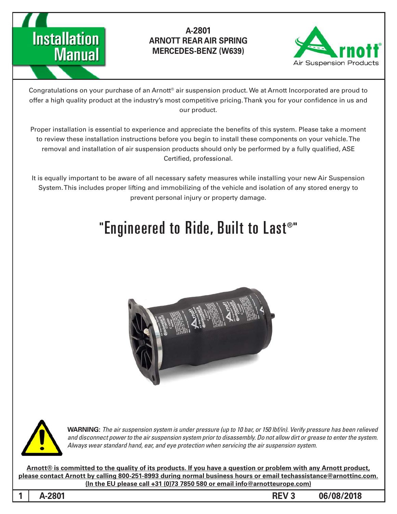



Congratulations on your purchase of an Arnott® air suspension product. We at Arnott Incorporated are proud to offer a high quality product at the industry's most competitive pricing. Thank you for your confidence in us and our product.

Proper installation is essential to experience and appreciate the benefits of this system. Please take a moment to review these installation instructions before you begin to install these components on your vehicle. The removal and installation of air suspension products should only be performed by a fully qualified, ASE Certified, professional.

It is equally important to be aware of all necessary safety measures while installing your new Air Suspension System. This includes proper lifting and immobilizing of the vehicle and isolation of any stored energy to prevent personal injury or property damage.

# "Engineered to Ride, Built to Last®"





*WARNING: The air suspension system is under pressure (up to 10 bar, or 150 lbf/in). Verify pressure has been relieved* and disconnect power to the air suspension system prior to disassembly. Do not allow dirt or grease to enter the system. Always wear standard hand, ear, and eye protection when servicing the air suspension system.

Arnott® is committed to the quality of its products. If you have a question or problem with any Arnott product, please contact Arnott by calling 800-251-8993 during normal business hours or email techassistance@arnottinc.com. (In the EU please call +31 (0)73 7850 580 or email info@arnotteurope.com)

**1**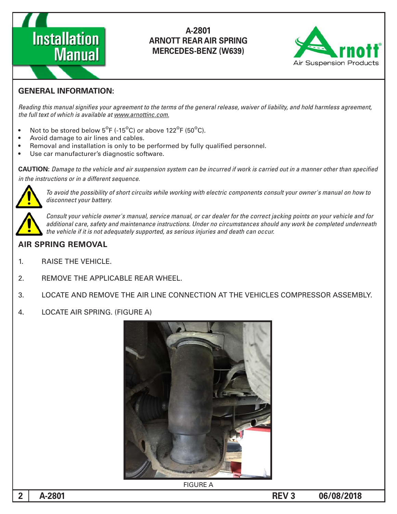



#### **GENERAL INFORMATION:**

Reading this manual signifies your agreement to the terms of the general release, waiver of liability, and hold harmless agreement, the full text of which is available at www.arnottinc.com.

- Not to be stored below  $5^{\circ}$ F (-15 $^{\circ}$ C) or above 122 $^{\circ}$ F (50 $^{\circ}$ C).
- Avoid damage to air lines and cables.
- Removal and installation is only to be performed by fully qualified personnel.
- Use car manufacturer's diagnostic software.

**CAUTION:** Damage to the vehicle and air suspension system can be incurred if work is carried out in a manner other than specified in the instructions or in a different sequence.



To avoid the possibility of short circuits while working with electric components consult your owner's manual on how to disconnect your battery.



Consult your vehicle owner's manual, service manual, or car dealer for the correct jacking points on your vehicle and for additional care, safety and maintenance instructions. Under no circumstances should any work be completed underneath the vehicle if it is not adequately supported, as serious injuries and death can occur.

#### **AIR SPRING REMOVAL**

- 1. RAISE THE VEHICLE.
- 2. REMOVE THE APPLICABLE REAR WHEEL.
- 3. LOCATE AND REMOVE THE AIR LINE CONNECTION AT THE VEHICLES COMPRESSOR ASSEMBLY.
- 4. LOCATE AIR SPRING. (FIGURE A)

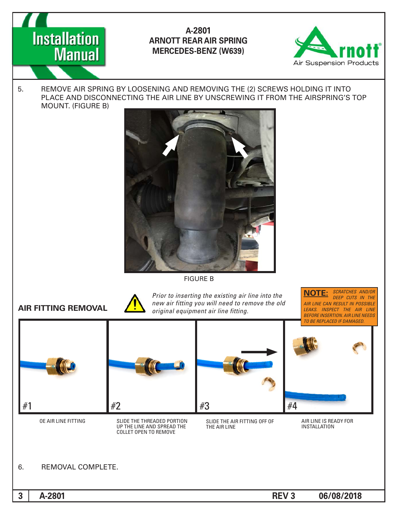



5. REMOVE AIR SPRING BY LOOSENING AND REMOVING THE (2) SCREWS HOLDING IT INTO PLACE AND DISCONNECTING THE AIR LINE BY UNSCREWING IT FROM THE AIRSPRING'S TOP MOUNT. (FIGURE B)



**FIGURE B** 



*Prior to inserting the existing air line into the* **AIR FITTING REMOVAL** *CON new air fitting you will need to remove the old original equipment air line fitting.* 

**SCRATCHES AND/OR DEEP CUTS IN THE AIR LINE CAN RESULT IN POSSIBLE LEAKS.** INSPECT THE AIR LINE **BEFORE INSERTION. AIR LINE NEEDS TO BE REPLACED IF DAMAGED. :NOTE**



A-2801 **CONSERVANT CONSERVANT CONSERVANT CONSERVANT CONSERVANT CONSERVANT CONSERVANT CONSERVANT CONSERVANT CONS**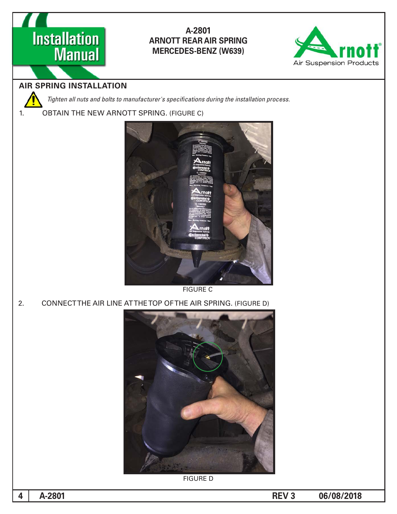



## **AIR SPRING INSTALLATION**

Tighten all nuts and bolts to manufacturer's specifications during the installation process.

1. OBTAIN THE NEW ARNOTT SPRING. (FIGURE C)



**FIGURE C** 

2. CONNECTTHE AIR LINE ATTHE TOP OF THE AIR SPRING. (FIGURE D)



**FIGURE D**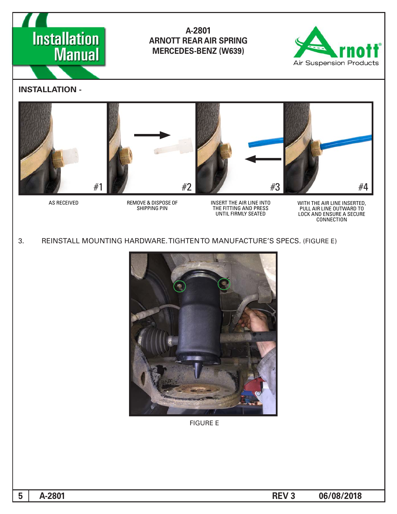



#### **- INSTALLATION**



 *OF DISPOSE & REMOVE RECEIVED AS SHIPPING PIN* 

*INSERT THE AIR LINE INTO PRESS AND FITTING THE* UNTIL FIRMLY SEATED

WITH THE AIR LINE INSERTED,<br>PULL AIR LINE OUTWARD TO **LOCK AND ENSURE A SECURE** *CONNECTION*

3. REINSTALL MOUNTING HARDWARE. TIGHTEN TO MANUFACTURE'S SPECS. (FIGURE E)



**FIGURE E**